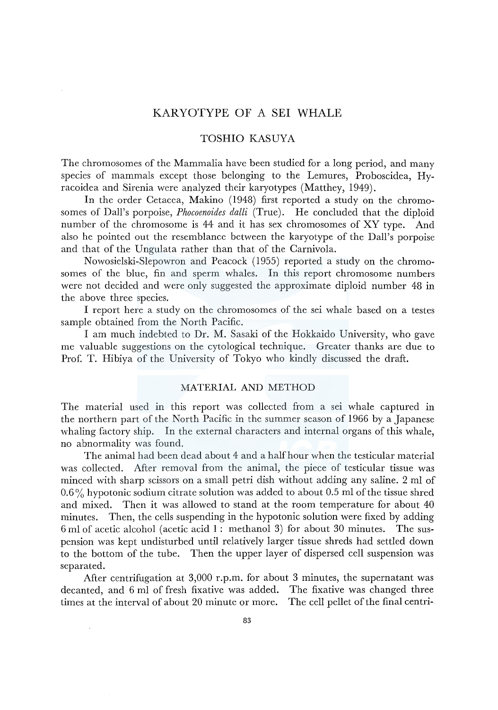# KARYOTYPE OF A SEI WHALE

### TOSHIO KASUYA

The chromosomes of the Mammalia have been studied for a long period, and many species of mammals except those belonging to the Lemures, Proboscidea, Hyracoidea and Sirenia were analyzed their karyotypes (Matthey, 1949).

In the order Cetacea, Makino (1948) first reported a study on the chromosomes of Dall's porpoise, *Phocoenoides dalli* (True). He concluded that the diploid number of the chromosome is 44 and it has sex chromosomes of XY type. And also he pointed out the resemblance between the karyotype of the Dall's porpoise and that of the Ungulata rather than that of the Carnivola.

Nowosielski-Slepowron and Peacock (1955) reported a study on the chromosomes of the blue, fin and sperm whales. In this report chromosome numbers were not decided and were only suggested the approximate diploid number 48 in the above three species.

I report here a study on the chromosomes of the sei whale based on a testes sample obtained from the North Pacific.

I am much indebted to Dr. M. Sasaki of the Hokkaido University, who gave me valuable suggestions on the cytological technique. Greater thanks are due to Prof. T. Hibiya of the University of Tokyo who kindly discussed the draft.

### MATERIAL AND METHOD

The material used in this report was collected from a sei whale captured in the northern part of the North Pacific in the summer season of 1966 by a Japanese whaling factory ship. In the external characters and internal organs of this whale, no abnormality was found.

The animal had been dead about 4 and a half hour when the testicular material was collected. After removal from the animal, the piece of testicular tissue was minced with sharp scissors on a small petri dish without adding any saline. 2 ml of  $0.6\%$  hypotonic sodium citrate solution was added to about 0.5 ml of the tissue shred and mixed. Then it was allowed to stand at the room temperature for about 40 minutes. Then, the cells suspending in the hypotonic solution were fixed by adding 6 ml of acetic alcohol (acetic acid 1 : methanol 3) for about 30 minutes. The suspension was kept undisturbed until relatively larger tissue shreds had settled down to the bottom of the tube. Then the upper layer of dispersed cell suspension was separated.

After centrifugation at 3,000 r.p.m. for about 3 minutes, the supernatant was decanted, and 6 ml of fresh fixative was added. The fixative was changed three times at the interval of about 20 minute or more. The cell pellet of the final centri-

 $\bar{z}$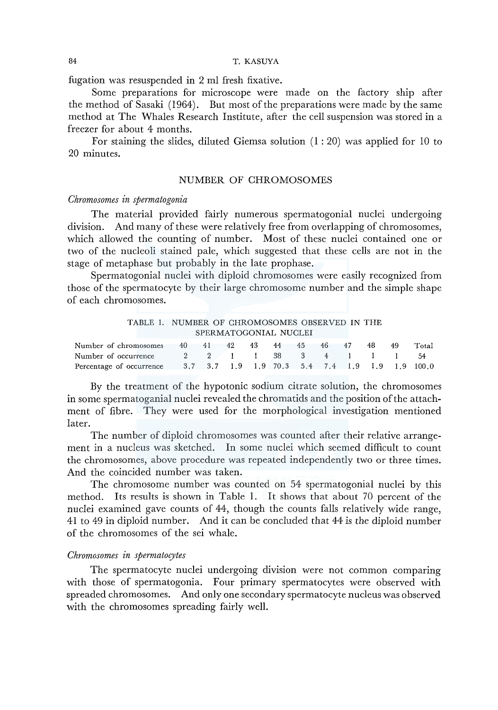### 84 T. KASUYA

fugation was resuspended in 2 ml fresh fixative.

Some preparations for microscope were made on the factory ship after the method of Sasaki (1964). But most of the preparations were made by the same method at The Whales Research Institute, after the cell suspension was stored in a freezer for about 4 months.

For staining the slides, diluted Giemsa solution  $(1:20)$  was applied for 10 to 20 minutes.

### NUMBER OF CHROMOSOMES

#### *Chromosomes in spermatogonia*

The material provided fairly numerous spermatogonial nuclei undergoing division. And many of these were relatively free from overlapping of chromosomes, which allowed the counting of number. Most of these nuclei contained one or two of the nucleoli stained pale, which suggested that these cells are not in the stage of metaphase but probably in the late prophase.

Spermatogonial nuclei with diploid chromosomes were easily recognized from those of the spermatocyte by their large chromosome number and the simple shape of each chromosomes.

| TABLE 1. NUMBER OF CHROMOSOMES OBSERVED IN THE                                                                                        |  |         |    |       |  |            |  |     |    |       |
|---------------------------------------------------------------------------------------------------------------------------------------|--|---------|----|-------|--|------------|--|-----|----|-------|
| SPERMATOGONIAL NUCLEI                                                                                                                 |  |         |    |       |  |            |  |     |    |       |
| Number of chromosomes                                                                                                                 |  | 40 41   | 42 | 43 44 |  | 45 46 47   |  | 48. | 49 | Total |
| Number of occurrence                                                                                                                  |  | 2 2 1 1 |    |       |  | 38 3 4 1 1 |  |     |    | 54    |
| Percentage of occurrence $3.7 \quad 3.7 \quad 1.9 \quad 1.9 \quad 70.3 \quad 5.4 \quad 7.4 \quad 1.9 \quad 1.9 \quad 1.9 \quad 100.0$ |  |         |    |       |  |            |  |     |    |       |

By the treatment of the hypotonic sodium citrate solution, the chromosomes in some spermatoganial nuclei revealed the chromatids and the position of the attachment of fibre. They were used for the morphological investigation mentioned later.

The number of diploid chromosomes was counted after their relative arrangement in a nucleus was sketched. In some nuclei which seemed difficult to count the chromosomes, above procedure was repeated independently two or three times. And the coincided number was taken.

The chromosome number was counted on 54 spermatogonial nuclei by this method. Its results is shown in Table 1. It shows that about 70 percent of the nuclei examined gave counts of 44, though the counts falls relatively wide range, 41 to 49 in diploid number. And it can be concluded that 44 *is* the *diploid* number of the chromosomes of the *sei* whale.

### *Chromosomes in spermatocytes*

The spermatocyte nuclei undergoing division were not common comparing with those of spermatogonia. Four primary spermatocytes were observed with spreaded chromosomes. And only one secondary spermatocyte nucleus was observed with the chromosomes spreading fairly well.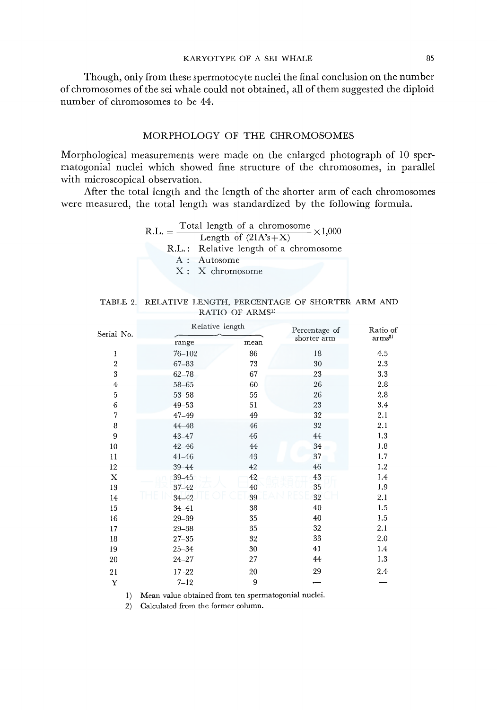Though, only from these spermotocyte nuclei the final conclusion on the number of chromosomes of the sei whale could not obtained, all of them suggested the diploid number of chromosomes to be 44.

### MORPHOLOGY OF THE CHROMOSOMES

Morphological measurements were made on the enlarged photograph of 10 spermatogonial nuclei which showed fine structure of the chromosomes, in parallel with microscopical observation.

After the total length and the length of the shorter arm of each chromosomes were measured, the total length was standardized by the following formula.

| $R.L. = -$ | Total length of a chromosome $\times 1,000$ |  |  |  |  |  |  |
|------------|---------------------------------------------|--|--|--|--|--|--|
|            | Length of $(21A's + X)$                     |  |  |  |  |  |  |
|            | R.L.: Relative length of a chromosome       |  |  |  |  |  |  |
|            | A : Autosome                                |  |  |  |  |  |  |
|            | X: X chromosome                             |  |  |  |  |  |  |

|  | TABLE 2. RELATIVE LENGTH, PERCENTAGE OF SHORTER ARM AND |  |  |
|--|---------------------------------------------------------|--|--|
|  | RATIO OF ARMS <sup>1)</sup>                             |  |  |

| Serial No.              | Relative length |      | Percentage of | Ratio of             |  |
|-------------------------|-----------------|------|---------------|----------------------|--|
|                         | range           | mean | shorter arm   | $\mathrm{arms}^{2)}$ |  |
| 1                       | $76 - 102$      | 86   | 18            | 4.5                  |  |
| $\overline{\mathbf{2}}$ | $67 - 83$       | 73   | 30            | 2.3                  |  |
| 3                       | $62 - 78$       | 67   | 23            | 3.3                  |  |
| $\overline{\mathbf{4}}$ | $58 - 65$       | 60   | 26            | 2.8                  |  |
| 5                       | $53 - 58$       | 55   | 26            | 2.8                  |  |
| 6                       | $49 - 53$       | 51   | 23            | 3.4                  |  |
| $\overline{7}$          | $47 - 49$       | 49   | 32            | 2.1                  |  |
| 8                       | 44-48           | 46   | 32            | 2.1                  |  |
| 9                       | 43-47           | 46   | 44            | 1.3                  |  |
| 10                      | $42 - 46$       | 44   | 34            | 1.8                  |  |
| 11                      | $41 - 46$       | 43   | 37            | 1.7                  |  |
| $12\,$                  | 39-44           | 42   | 46            | 1.2                  |  |
| X                       | $39 - 45$       | 42   | 43            | 1.4                  |  |
| 13                      | $37 - 42$       | 40   | 35            | 1.9                  |  |
| 14                      | $34 - 42$       | 39   | $32\,$        | 2.1                  |  |
| 15                      | $34 - 41$       | 38   | 40            | 1.5                  |  |
| 16                      | $29 - 39$       | 35   | 40            | 1.5                  |  |
| 17                      | $29 - 38$       | 35   | 32            | 2.1                  |  |
| 18                      | $27 - 35$       | 32   | 33            | 2.0                  |  |
| 19                      | $25 - 34$       | 30   | 41            | 1.4                  |  |
| 20                      | $24 - 27$       | 27   | 44            | 1.3                  |  |
| 21                      | $17 - 22$       | 20   | 29            | 2.4                  |  |
| Y                       | $7 - 12$        | 9    |               |                      |  |

1) Mean value obtained from ten spermatogonial nuclei.

2) Calculated from the former column.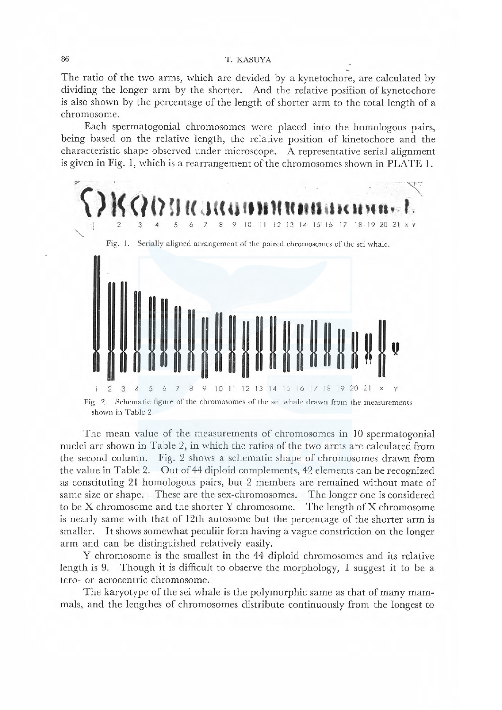#### T. KASUYA

The ratio of the two arms, which are devided by a kynetochore, are calculated by dividing the longer arm by the shorter. And the relative position of kynetochore is also shown by the percentage of the length of shorter arm to the total length of a chromosome.

Each spermatogonial chromosomes were placed into the homologous pairs, being based on the relative length, the relative position of kinetochore and the characteristic shape observed under microscope. A representative serial alignment is given in Fig. 1, which is a rearrangement of the chromosomes shown in PLATE 1.



shown in Table 2.

The mean value of the measurements of chromosomes in 10 spermatogonial nuclei are shown in Table 2, in which the ratios of the two arms are calculated from the second column. Fig. 2 shows a schematic shape of chromosomes drawn from the value in Table 2. Out of 44 diploid complements, 42 elements can be recognized as constituting 21 homologous pairs, but 2 members are remained without mate of same size or shape. These are the sex-chromosomes. The longer one is considered to be X chromosome and the shorter Y chromosome. The length of X chromosome is nearly same with that of 12th autosome but the percentage of the shorter arm is smaller. It shows somewhat peculiir form having a vague constriction on the longer arm and can be distinguished relatively easily.

Y chromosome is the smallest in the 44 diploid chromosomes and its relative length is 9. Though it is difficult to observe the morphology, I suggest it to be a tero- or acrocentric chromosome.

The karyotype of the sei whale is the polymorphic same as that of many mammals, and the lengthes of chromosomes distribute continuously from the longest to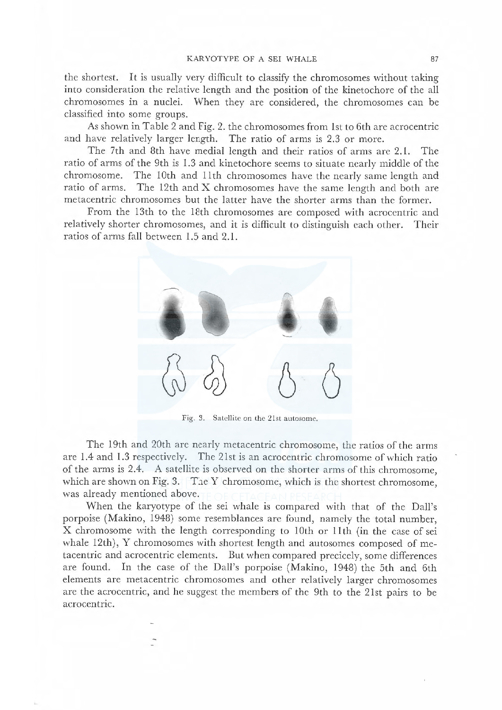the shortest. It is usually very difficult to classify the chromosomes without taking into consideration the relative length and the position of the kinetochore of the al ehromosomes in a nuclei. vVhen they are considered, the chromosomes can be classified into some groups.

As shown in Table 2 and Fig. 2. the chromosomes from 1st to 6th are acrocentric and have relatively larger length. The ratio of arms is 2.3 or more.

The 7th and 8th have medial length and their ratios of arms are 2.1. The ratio of arms of the 9th is 1.3 and kinetochore seems to situate nearly middle of the chromosome. The 10th and 11th chromosomes have the nearly same length and ratio of arms. The 12th and X chromosomes have the same length and both are metacentric chromosomes but the latter have the shorter arms than the former.

From the 13th to the 18th chromosomes are composed with acrocentric and relatively shorter chromosomes, and it is difficult to distinguish each other. Their ratios of arms fall between 1.5 and 2.1.



Fig. 3. Satellite on the 2 Ist autosomc.

The 19th and 20th are nearly metacentric chromosome, the ratios of the arms are 1.4 and 1.3 respectively. The 2 Ist is an acrocentric chromosome of which ratio of the arms is 2.4. A satellite is observed on the shorter arms of this chromosome, which are shown on Fig. 3. The Y chromosome, which is the shortest chromosome, was already mentioned above.

When the karyotype of the sei whale is compared with that of the Dall's porpoise (Makino, 1948) some resemblanees are found, namely the total number, X chromosome with the length corresponding to 10th or 11th (in the case of sei whale 12th), Y chromosomes with shortest length and autosomes composed of metacentric and acrocentric clements. But when compared precicely, some difrerences are found. In the case of the Dal's porpoise (Makino, 1948) the 5th and 6th elements are metacentric chromosomes and other relatively larger chromosomes are the acrocentric, and he suggest the members of the 9th to the 2 lst pairs to be acrocentric.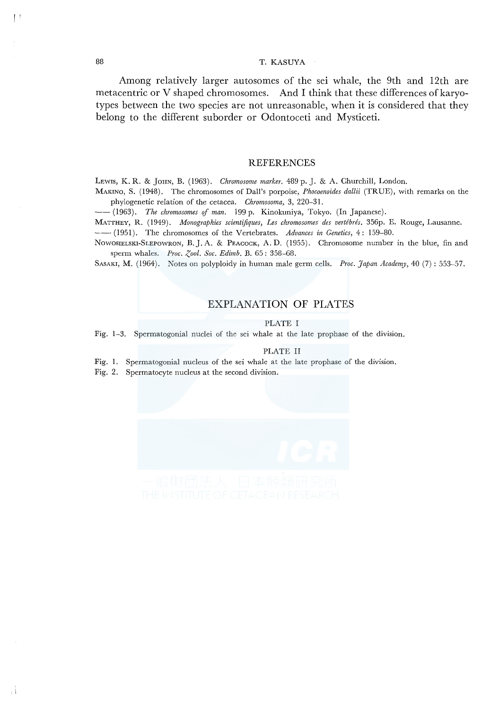## 88 T. KASUYA

Among relatively larger autosomes of the sei whale, the 9th and 12th are metacentric or V shaped chromosomes. And I think that these differences of karyotypes between the two species are not unreasonable, when it is considered that they belong to the different suborder or Odontoceti and Mysticeti.

#### REFERENCES

LEwrs, K. R. & JoHN, B. (1963). *Chromosome marker.* 489 p. J. & A. Churchill, London.

MAKINO, S. (1948). The chromosomes of Dall's porpoise, *Phocoenoides dallii* (TRUE), with remarks on the phylogenetic relation of the cetacea. *Chromosoma,* 3, 220-31.

--(1963). *The chromosomes* ef *man.* 199 p. Kinokuniya, Tokyo. (In Japanese).

MATTHEY, R. (1949). *Monographies scientifiques, Les chromosomes des vertébrés*. 356p. E. Rouge, Lausanne.<br>-- (1951). The chromosomes of the Vertebrates. *Advances in Genetics*, 4: 159–80.

Nowosielski-SLEPOWRON, B.J. A. & PEACOCK, A.D. (1955). Chromosome number in the blue, fin and sperm whales. *Proc. Zool. Soc. Edimb.* B. 65: 358-68.

SASAKI, M. (1964). Notes on polyploidy in human male germ cells. *Proc. Japan Academy,* 40 (7): 553-57.

# EXPLANATION OF PLATES

#### PLATE I

Fig. 1-3. Spermatogonial nuclei of the sei whale at the late prophase of the division.

### PLATE II

Fig. 1. Spermatogonial nucleus of the sei whale at the late prophase of the division.

Fig. 2. Spermatocyte nucleus at the second division.



I'

Ξİ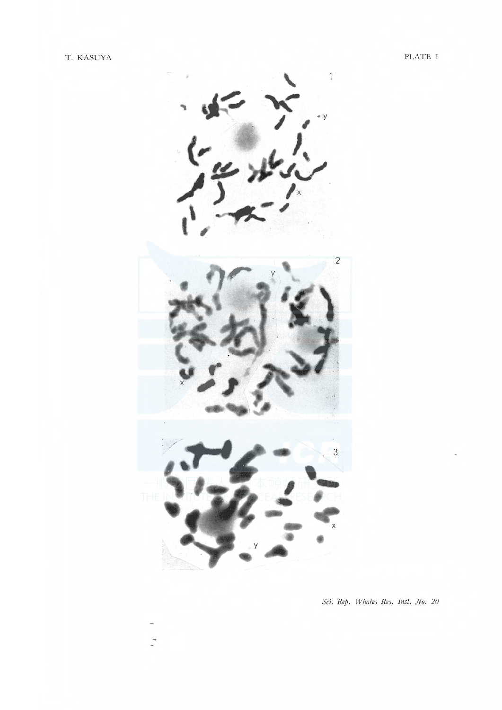

Sci. Rep. Whales Res. Inst. No. 20